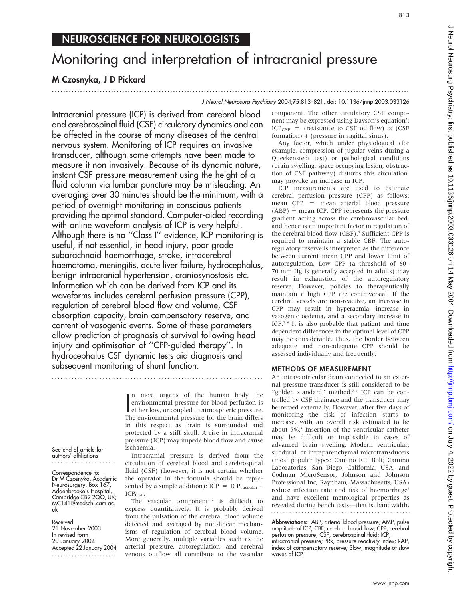# NEUROSCIENCE FOR NEUROLOGISTS

# Monitoring and interpretation of intracranial pressure

.............................................................................................................................. .

### M Czosnyka, J D Pickard

## J Neurol Neurosurg Psychiatry 2004;75:813–821. doi: 10.1136/jnnp.2003.033126

Intracranial pressure (ICP) is derived from cerebral blood and cerebrospinal fluid (CSF) circulatory dynamics and can be affected in the course of many diseases of the central nervous system. Monitoring of ICP requires an invasive transducer, although some attempts have been made to measure it non-invasively. Because of its dynamic nature, instant CSF pressure measurement using the height of a fluid column via lumbar puncture may be misleading. An averaging over 30 minutes should be the minimum, with a period of overnight monitoring in conscious patients providing the optimal standard. Computer-aided recording with online waveform analysis of ICP is very helpful. Although there is no ''Class I'' evidence, ICP monitoring is useful, if not essential, in head injury, poor grade subarachnoid haemorrhage, stroke, intracerebral haematoma, meningitis, acute liver failure, hydrocephalus, benign intracranial hypertension, craniosynostosis etc. Information which can be derived from ICP and its waveforms includes cerebral perfusion pressure (CPP), regulation of cerebral blood flow and volume, CSF absorption capacity, brain compensatory reserve, and content of vasogenic events. Some of these parameters allow prediction of prognosis of survival following head injury and optimisation of ''CPP-guided therapy''. In hydrocephalus CSF dynamic tests aid diagnosis and subsequent monitoring of shunt function.

...........................................................................

In most organs of the human body the<br>environmental pressure for blood perfusion is<br>either low, or coupled to atmospheric pressure.<br>The environmental pressure for the brain different n most organs of the human body the environmental pressure for blood perfusion is The environmental pressure for the brain differs in this respect as brain is surrounded and protected by a stiff skull. A rise in intracranial pressure (ICP) may impede blood flow and cause ischaemia.

Intracranial pressure is derived from the circulation of cerebral blood and cerebrospinal fluid (CSF) (however, it is not certain whether the operator in the formula should be represented by a simple addition):  $ICP = ICP_{\text{vacular}} +$  $ICP_{CSF}$ .

The vascular component<sup>12</sup> is difficult to express quantitatively. It is probably derived from the pulsation of the cerebral blood volume detected and averaged by non-linear mechanisms of regulation of cerebral blood volume. More generally, multiple variables such as the arterial pressure, autoregulation, and cerebral venous outflow all contribute to the vascular component. The other circulatory CSF component may be expressed using Davson's equation<sup>3</sup>:  $ICP_{CSF}$  = (resistance to CSF outflow)  $\times$  (CSF formation) + (pressure in sagittal sinus).

813

Any factor, which under physiological (for example, compression of jugular veins during a Queckenstedt test) or pathological conditions (brain swelling, space occupying lesion, obstruction of CSF pathway) disturbs this circulation, may provoke an increase in ICP.

ICP measurements are used to estimate cerebral perfusion pressure (CPP) as follows: mean CPP = mean arterial blood pressure  $(ABP)$  – mean ICP. CPP represents the pressure gradient acting across the cerebrovascular bed, and hence is an important factor in regulation of the cerebral blood flow (CBF).<sup>4</sup> Sufficient CPP is required to maintain a stable CBF. The autoregulatory reserve is interpreted as the difference between current mean CPP and lower limit of autoregulation. Low CPP (a threshold of 60– 70 mm Hg is generally accepted in adults) may result in exhaustion of the autoregulatory reserve. However, policies to therapeutically maintain a high CPP are controversial. If the cerebral vessels are non-reactive, an increase in CPP may result in hyperaemia, increase in vasogenic oedema, and a secondary increase in ICP.<sup>5 6</sup> It is also probable that patient and time dependent differences in the optimal level of CPP may be considerable. Thus, the border between adequate and non-adequate CPP should be assessed individually and frequently.

#### METHODS OF MEASUREMENT

An intraventricular drain connected to an external pressure transducer is still considered to be "golden standard" method.<sup>7 8</sup> ICP can be controlled by CSF drainage and the transducer may be zeroed externally. However, after five days of monitoring the risk of infection starts to increase, with an overall risk estimated to be about 5%.<sup>9</sup> Insertion of the ventricular catheter may be difficult or impossible in cases of advanced brain swelling. Modern ventricular, subdural, or intraparenchymal microtransducers (most popular types: Camino ICP Bolt; Camino Laboratories, San Diego, California, USA; and Codman MicroSensor, Johnson and Johnson Professional Inc, Raynham, Massachusetts, USA) reduce infection rate and risk of haemorrhage<sup>9</sup> and have excellent metrological properties as revealed during bench tests—that is, bandwidth,

Abbreviations: ABP, arterial blood pressure; AMP, pulse amplitude of ICP; CBF, cerebral blood flow; CPP, cerebral perfusion pressure; CSF, cerebrospinal fluid; ICP, intracranial pressure; PRx, pressure-reactivity index; RAP, index of compensatory reserve; Slow, magnitude of slow waves of ICP

See end of article for authors' affiliations

Correspondence to: Dr M Czosnyka, Academic Neurosurgery, Box 167, Addenbrooke's Hospital, Cambridge CB2 2QQ, UK; MC141@medschl.cam.ac. uk

Received 21 November 2003 In revised form 20 January 2004 Accepted 22 January 2004 .......................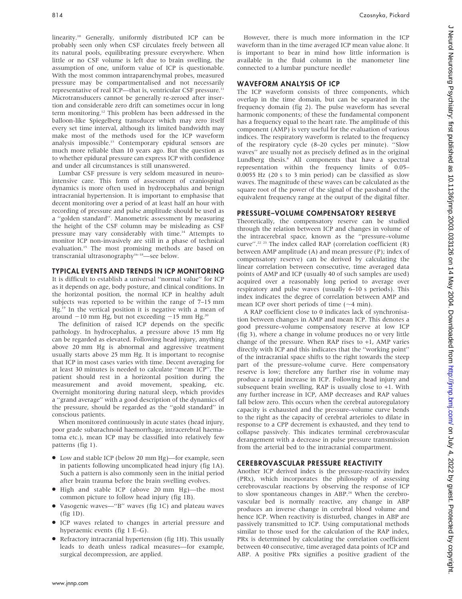linearity.10 Generally, uniformly distributed ICP can be probably seen only when CSF circulates freely between all its natural pools, equilibrating pressure everywhere. When little or no CSF volume is left due to brain swelling, the assumption of one, uniform value of ICP is questionable. With the most common intraparenchymal probes, measured pressure may be compartmentalised and not necessarily representative of real ICP—that is, ventricular CSF pressure.<sup>11</sup> Microtransducers cannot be generally re-zeroed after insertion and considerable zero drift can sometimes occur in long term monitoring.12 This problem has been addressed in the balloon-like Spiegelberg transducer which may zero itself every set time interval, although its limited bandwidth may make most of the methods used for the ICP waveform analysis impossible.13 Contemporary epidural sensors are much more reliable than 10 years ago. But the question as to whether epidural pressure can express ICP with confidence and under all circumstances is still unanswered.

Lumbar CSF pressure is very seldom measured in neurointensive care. This form of assessment of craniospinal dynamics is more often used in hydrocephalus and benign intracranial hypertension. It is important to emphasise that decent monitoring over a period of at least half an hour with recording of pressure and pulse amplitude should be used as a ''golden standard''. Manometric assessment by measuring the height of the CSF column may be misleading as CSF pressure may vary considerably with time.<sup>14</sup> Attempts to monitor ICP non-invasively are still in a phase of technical evaluation.15 The most promising methods are based on transcranial ultrasonography<sup>16-18</sup>—see below.

#### TYPICAL EVENTS AND TRENDS IN ICP MONITORING

It is difficult to establish a universal ''normal value'' for ICP as it depends on age, body posture, and clinical conditions. In the horizontal position, the normal ICP in healthy adult subjects was reported to be within the range of 7–15 mm Hg.<sup>19</sup> In the vertical position it is negative with a mean of around  $-10$  mm Hg, but not exceeding  $-15$  mm Hg.<sup>20</sup>

The definition of raised ICP depends on the specific pathology. In hydrocephalus, a pressure above 15 mm Hg can be regarded as elevated. Following head injury, anything above 20 mm Hg is abnormal and aggressive treatment usually starts above 25 mm Hg. It is important to recognise that ICP in most cases varies with time. Decent averaging for at least 30 minutes is needed to calculate ''mean ICP''. The patient should rest in a horizontal position during the measurement and avoid movement, speaking, etc. Overnight monitoring during natural sleep, which provides a ''grand average'' with a good description of the dynamics of the pressure, should be regarded as the ''gold standard'' in conscious patients.

When monitored continuously in acute states (head injury, poor grade subarachnoid haemorrhage, intracerebral haematoma etc.), mean ICP may be classified into relatively few patterns (fig 1).

- Low and stable ICP (below 20 mm Hg)—for example, seen in patients following uncomplicated head injury (fig 1A). Such a pattern is also commonly seen in the initial period after brain trauma before the brain swelling evolves.
- N High and stable ICP (above 20 mm Hg)—the most common picture to follow head injury (fig 1B).
- Vasogenic waves—"B" waves (fig 1C) and plateau waves (fig 1D).
- N ICP waves related to changes in arterial pressure and hyperaemic events (fig 1 E–G).
- $\bullet$  Refractory intracranial hypertension (fig 1H). This usually leads to death unless radical measures—for example, surgical decompression, are applied.

However, there is much more information in the ICP waveform than in the time averaged ICP mean value alone. It is important to bear in mind how little information is available in the fluid column in the manometer line connected to a lumbar puncture needle!

#### WAVEFORM ANALYSIS OF ICP

The ICP waveform consists of three components, which overlap in the time domain, but can be separated in the frequency domain (fig 2). The pulse waveform has several harmonic components; of these the fundamental component has a frequency equal to the heart rate. The amplitude of this component (AMP) is very useful for the evaluation of various indices. The respiratory waveform is related to the frequency of the respiratory cycle (8–20 cycles per minute). ''Slow waves'' are usually not as precisely defined as in the original Lundberg thesis.<sup>8</sup> All components that have a spectral representation within the frequency limits of 0.05– 0.0055 Hz (20 s to 3 min period) can be classified as slow waves. The magnitude of these waves can be calculated as the square root of the power of the signal of the passband of the equivalent frequency range at the output of the digital filter.

#### PRESSURE–VOLUME COMPENSATORY RESERVE

Theoretically, the compensatory reserve can be studied through the relation between ICP and changes in volume of the intracerebral space, known as the ''pressure–volume curve''.22 23 The index called RAP (correlation coefficient (R) between AMP amplitude (A) and mean pressure (P); index of compensatory reserve) can be derived by calculating the linear correlation between consecutive, time averaged data points of AMP and ICP (usually 40 of such samples are used) acquired over a reasonably long period to average over respiratory and pulse waves (usually 6–10 s periods). This index indicates the degree of correlation between AMP and mean ICP over short periods of time  $(\sim 4 \text{ min})$ .

A RAP coefficient close to 0 indicates lack of synchronisation between changes in AMP and mean ICP. This denotes a good pressure–volume compensatory reserve at low ICP (fig 3), where a change in volume produces no or very little change of the pressure. When RAP rises to +1, AMP varies directly with ICP and this indicates that the ''working point'' of the intracranial space shifts to the right towards the steep part of the pressure–volume curve. Here compensatory reserve is low; therefore any further rise in volume may produce a rapid increase in ICP. Following head injury and subsequent brain swelling, RAP is usually close to +1. With any further increase in ICP, AMP decreases and RAP values fall below zero. This occurs when the cerebral autoregulatory capacity is exhausted and the pressure–volume curve bends to the right as the capacity of cerebral arterioles to dilate in response to a CPP decrement is exhausted, and they tend to collapse passively. This indicates terminal cerebrovascular derangement with a decrease in pulse pressure transmission from the arterial bed to the intracranial compartment.

#### CEREBROVASCULAR PRESSURE REACTIVITY

Another ICP derived index is the pressure-reactivity index (PRx), which incorporates the philosophy of assessing cerebrovascular reactions by observing the response of ICP to slow spontaneous changes in ABP.<sup>24</sup> When the cerebrovascular bed is normally reactive, any change in ABP produces an inverse change in cerebral blood volume and hence ICP. When reactivity is disturbed, changes in ABP are passively transmitted to ICP. Using computational methods similar to those used for the calculation of the RAP index, PRx is determined by calculating the correlation coefficient between 40 consecutive, time averaged data points of ICP and ABP. A positive PRx signifies a positive gradient of the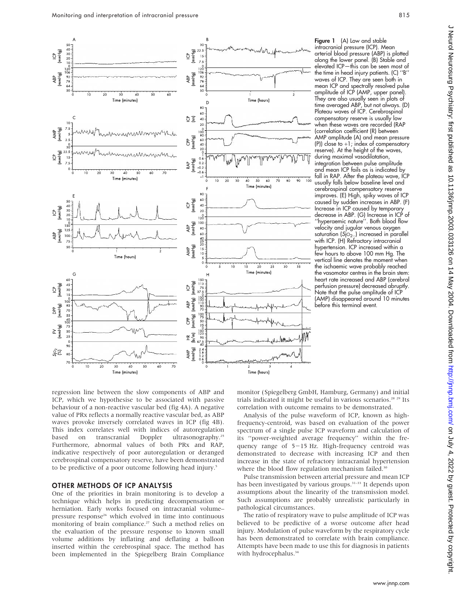

Figure 1 (A) Low and stable intracranial pressure (ICP). Mean arterial blood pressure (ABP) is plotted along the lower panel. (B) Stable and elevated ICP—this can be seen most of the time in head injury patients. (C) ''B'' waves of ICP. They are seen both in mean ICP and spectrally resolved pulse amplitude of ICP (AMP, upper panel). They are also usually seen in plots of time averaged ABP, but not always. (D) Plateau waves of ICP. Cerebrospinal compensatory reserve is usually low when these waves are recorded (RAP (correlation coefficient (R) between AMP amplitude (A) and mean pressure (P)) close to  $+1$ ; index of compensatory reserve). At the height of the waves, during maximal vasodilatation, integration between pulse amplitude and mean ICP fails as is indicated by fall in RAP. After the plateau wave, ICP usually falls below baseline level and cerebrospinal compensatory reserve improves. (E) High, spiky waves of ICP caused by sudden increases in ABP. (F) Increase in ICP caused by temporary decrease in ABP. (G) Increase in ICP of ''hyperaemic nature''. Both blood flow velocity and jugular venous oxygen saturation (Sjo<sub>2--</sub>) increased in parallel with ICP. (H) Refractory intracranial hypertension. ICP increased within a few hours to above 100 mm Hg. The vertical line denotes the moment when the ischaemic wave probably reached the vasomotor centres in the brain stem: heart rate increased and ABP (cerebral perfusion pressure) decreased abruptly. Note that the pulse amplitude of ICP (AMP) disappeared around 10 minutes before this terminal event.

regression line between the slow components of ABP and ICP, which we hypothesise to be associated with passive behaviour of a non-reactive vascular bed (fig 4A). A negative value of PRx reflects a normally reactive vascular bed, as ABP waves provoke inversely correlated waves in ICP (fig 4B). This index correlates well with indices of autoregulation based on transcranial Doppler ultrasonography.<sup>25</sup> Furthermore, abnormal values of both PRx and RAP, indicative respectively of poor autoregulation or deranged cerebrospinal compensatory reserve, have been demonstrated to be predictive of a poor outcome following head injury.<sup>5</sup>

#### OTHER METHODS OF ICP ANALYSIS

One of the priorities in brain monitoring is to develop a technique which helps in predicting decompensation or herniation. Early works focused on intracranial volume– pressure response26 which evolved in time into continuous monitoring of brain compliance.<sup>27</sup> Such a method relies on the evaluation of the pressure response to known small volume additions by inflating and deflating a balloon inserted within the cerebrospinal space. The method has been implemented in the Spiegelberg Brain Compliance monitor (Spiegelberg GmbH, Hamburg, Germany) and initial trials indicated it might be useful in various scenarios.<sup>28, 29</sup> Its correlation with outcome remains to be demonstrated.

Analysis of the pulse waveform of ICP, known as highfrequency-centroid, was based on evaluation of the power spectrum of a single pulse ICP waveform and calculation of its ''power-weighted average frequency'' within the frequency range of  $5-15$  Hz. High-frequency centroid was demonstrated to decrease with increasing ICP and then increase in the state of refractory intracranial hypertension where the blood flow regulation mechanism failed.<sup>30</sup>

Pulse transmission between arterial pressure and mean ICP has been investigated by various groups.<sup>31–33</sup> It depends upon assumptions about the linearity of the transmission model. Such assumptions are probably unrealistic particularly in pathological circumstances.

The ratio of respiratory wave to pulse amplitude of ICP was believed to be predictive of a worse outcome after head injury. Modulation of pulse waveform by the respiratory cycle has been demonstrated to correlate with brain compliance. Attempts have been made to use this for diagnosis in patients with hydrocephalus.<sup>34</sup>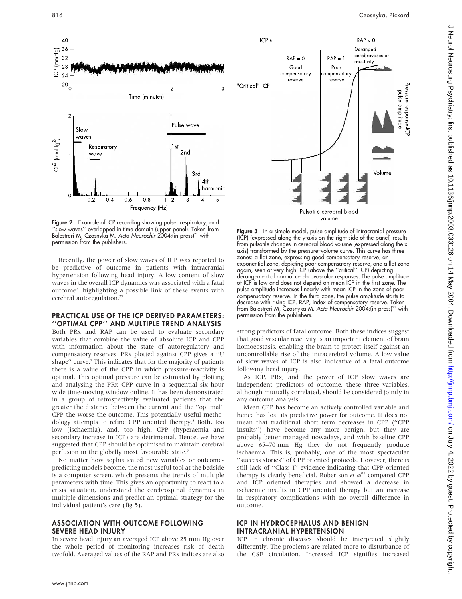

Figure 2 Example of ICP recording showing pulse, respiratory, and 'slow waves'' overlapped in time domain (upper panel). Taken from Balestreri M, Czosnyka M. Acta Neurochir 2004;(in press)<sup>21</sup> with permission from the publishers.

Recently, the power of slow waves of ICP was reported to be predictive of outcome in patients with intracranial hypertension following head injury. A low content of slow waves in the overall ICP dynamics was associated with a fatal outcome<sup>21</sup> highlighting a possible link of these events with cerebral autoregulation.<sup>35</sup>

#### PRACTICAL USE OF THE ICP DERIVED PARAMETERS: ''OPTIMAL CPP'' AND MULTIPLE TREND ANALYSIS

Both PRx and RAP can be used to evaluate secondary variables that combine the value of absolute ICP and CPP with information about the state of autoregulatory and compensatory reserves. PRx plotted against CPP gives a ''U shape" curve.<sup>5</sup> This indicates that for the majority of patients there is a value of the CPP in which pressure-reactivity is optimal. This optimal pressure can be estimated by plotting and analysing the PRx–CPP curve in a sequential six hour wide time-moving window online. It has been demonstrated in a group of retrospectively evaluated patients that the greater the distance between the current and the ''optimal'' CPP the worse the outcome. This potentially useful methodology attempts to refine CPP oriented therapy.<sup>5</sup> Both, too low (ischaemia), and, too high, CPP (hyperaemia and secondary increase in ICP) are detrimental. Hence, we have suggested that CPP should be optimised to maintain cerebral perfusion in the globally most favourable state.<sup>5</sup>

No matter how sophisticated new variables or outcomepredicting models become, the most useful tool at the bedside is a computer screen, which presents the trends of multiple parameters with time. This gives an opportunity to react to a crisis situation, understand the cerebrospinal dynamics in multiple dimensions and predict an optimal strategy for the individual patient's care (fig 5).

#### ASSOCIATION WITH OUTCOME FOLLOWING SEVERE HEAD INJURY

In severe head injury an averaged ICP above 25 mm Hg over the whole period of monitoring increases risk of death twofold. Averaged values of the RAP and PRx indices are also



Figure 3 In a simple model, pulse amplitude of intracranial pressure (ICP) (expressed along the y-axis on the right side of the panel) results from pulsatile changes in cerebral blood volume (expressed along the xaxis) transformed by the pressure–volume curve. This curve has three zones: a flat zone, expressing good compensatory reserve, an exponential zone, depicting poor compensatory reserve, and a flat zone again, seen at very high ICP (above the ''critical'' ICP) depicting derangement of normal cerebrovascular responses. The pulse amplitude of ICP is low and does not depend on mean ICP in the first zone. The pulse amplitude increases linearly with mean ICP in the zone of poor compensatory reserve. In the third zone, the pulse amplitude starts to decrease with rising ICP. RAP, index of compensatory reserve. Taken from Balestreri M, Czosnyka M. Acta Neurochir 2004;(in press)<sup>21</sup> with permission from the publishers.

strong predictors of fatal outcome. Both these indices suggest that good vascular reactivity is an important element of brain homoeostasis, enabling the brain to protect itself against an uncontrollable rise of the intracerebral volume. A low value of slow waves of ICP is also indicative of a fatal outcome following head injury.

As ICP, PRx, and the power of ICP slow waves are independent predictors of outcome, these three variables, although mutually correlated, should be considered jointly in any outcome analysis.

Mean CPP has become an actively controlled variable and hence has lost its predictive power for outcome. It does not mean that traditional short term decreases in CPP (''CPP insults'') have become any more benign, but they are probably better managed nowadays, and with baseline CPP above 65–70 mm Hg they do not frequently produce ischaemia. This is, probably, one of the most spectacular ''success stories'' of CPP oriented protocols. However, there is still lack of ''Class I'' evidence indicating that CPP oriented therapy is clearly beneficial. Robertson et  $a^{136}$  compared CPP and ICP oriented therapies and showed a decrease in ischaemic insults in CPP oriented therapy but an increase in respiratory complications with no overall difference in outcome.

#### ICP IN HYDROCEPHALUS AND BENIGN INTRACRANIAL HYPERTENSION

ICP in chronic diseases should be interpreted slightly differently. The problems are related more to disturbance of the CSF circulation. Increased ICP signifies increased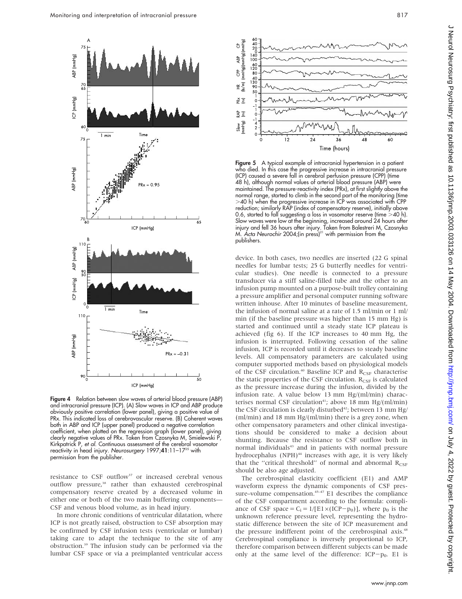

Figure 4 Relation between slow waves of arterial blood pressure (ABP) and intracranial pressure (ICP). (A) Slow waves in ICP and ABP produce obviously positive correlation (lower panel), giving a positive value of PRx. This indicated loss of cerebrovascular reserve. (B) Coherent waves both in ABP and ICP (upper panel) produced a negative correlation coefficient, when plotted on the regression graph (lower panel), giving clearly negative values of PRx. Taken from Czosnyka M, Smielewski P, Kirkpatrick P, et al. Continuous assessment of the cerebral vasomotor reactivity in head injury. Neurosurgery 1997;41:11–1725 with permission from the publisher.

resistance to CSF outflow<sup>37</sup> or increased cerebral venous outflow pressure,<sup>38</sup> rather than exhausted cerebrospinal compensatory reserve created by a decreased volume in either one or both of the two main buffering components— CSF and venous blood volume, as in head injury.

In more chronic conditions of ventricular dilatation, where ICP is not greatly raised, obstruction to CSF absorption may be confirmed by CSF infusion tests (ventricular or lumbar) taking care to adapt the technique to the site of any obstruction.39 The infusion study can be performed via the lumbar CSF space or via a preimplanted ventricular access



Figure 5 A typical example of intracranial hypertension in a patient who died. In this case the progressive increase in intracranial pressure (ICP) caused a severe fall in cerebral perfusion pressure (CPP) (time 48 h), although normal values of arterial blood pressure (ABP) were maintained. The pressure-reactivity index (PRx), at first slightly above the normal range, started to climb in the second part of the monitoring (time .40 h) when the progressive increase in ICP was associated with CPP reduction; similarly RAP (index of compensatory reserve), initially above 0.6, started to fall suggesting a loss in vasomotor reserve (time  $>$ 40 h). Slow waves were low at the beginning, increased around 24 hours after injury and tell 36 hours atter injury. Taken trom Balestreri M, Czosnyko<br>M. *Acta Neurochir* 2004;(in press)<sup>21</sup> with permission from the publishers.

device. In both cases, two needles are inserted (22 G spinal needles for lumbar tests; 25 G butterfly needles for ventricular studies). One needle is connected to a pressure transducer via a stiff saline-filled tube and the other to an infusion pump mounted on a purpose-built trolley containing a pressure amplifier and personal computer running software written inhouse. After 10 minutes of baseline measurement, the infusion of normal saline at a rate of 1.5 ml/min or 1 ml/ min (if the baseline pressure was higher than 15 mm Hg) is started and continued until a steady state ICP plateau is achieved (fig 6). If the ICP increases to 40 mm Hg, the infusion is interrupted. Following cessation of the saline infusion, ICP is recorded until it decreases to steady baseline levels. All compensatory parameters are calculated using computer supported methods based on physiological models of the CSF circulation.<sup>40</sup> Baseline ICP and  $R_{CSF}$  characterise the static properties of the CSF circulation.  $R_{CSF}$  is calculated as the pressure increase during the infusion, divided by the infusion rate. A value below 13 mm Hg/(ml/min) characterises normal CSF circulation<sup>41</sup>; above 18 mm  $Hg/(m l/min)$ the CSF circulation is clearly disturbed<sup>42</sup>; between 13 mm Hg/ (ml/min) and 18 mm Hg/(ml/min) there is a grey zone, when other compensatory parameters and other clinical investigations should be considered to make a decision about shunting. Because the resistance to CSF outflow both in normal individuals<sup>43</sup> and in patients with normal pressure hydrocephalus (NPH)<sup>44</sup> increases with age, it is very likely that the "critical threshold" of normal and abnormal  $R_{CSF}$ should be also age adjusted.

The cerebrospinal elasticity coefficient (E1) and AMP waveform express the dynamic components of CSF pressure–volume compensation.<sup>45-47</sup> E1 describes the compliance of the CSF compartment according to the formula: compliance of CSF space =  $C_i = 1/[E1 \times (ICP - p_0)]$ , where  $p_0$  is the unknown reference pressure level, representing the hydrostatic difference between the site of ICP measurement and the pressure indifferent point of the cerebrospinal axis.<sup>48</sup> Cerebrospinal compliance is inversely proportional to ICP, therefore comparison between different subjects can be made only at the same level of the difference:  $ICP-p_0$ . E1 is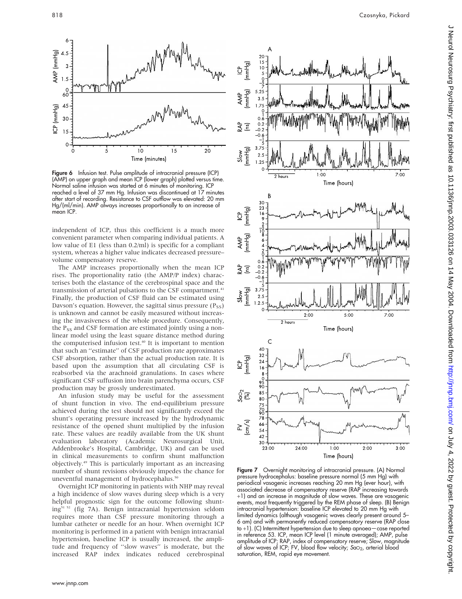



Figure 6 Infusion test. Pulse amplitude of intracranial pressure (ICP) (AMP) on upper graph and mean ICP (lower graph) plotted versus time. Normal saline infusion was started at 6 minutes of monitoring. ICP reached a level of 37 mm Hg. Infusion was discontinued at 17 minutes after start of recording. Resistance to CSF outflow was elevated: 20 mm Hg/(ml/min). AMP always increases proportionally to an increase of mean ICP.

independent of ICP, thus this coefficient is a much more convenient parameter when comparing individual patients. A low value of E1 (less than 0.2/ml) is specific for a compliant system, whereas a higher value indicates decreased pressure– volume compensatory reserve.

The AMP increases proportionally when the mean ICP rises. The proportionality ratio (the AMP/P index) characterises both the elastance of the cerebrospinal space and the transmission of arterial pulsations to the CSF compartment.<sup>41</sup> Finally, the production of CSF fluid can be estimated using Davson's equation. However, the sagittal sinus pressure  $(P_{SS})$ is unknown and cannot be easily measured without increasing the invasiveness of the whole procedure. Consequently, the  $P_{SS}$  and CSF formation are estimated jointly using a nonlinear model using the least square distance method during the computerised infusion test.<sup>40</sup> It is important to mention that such an ''estimate'' of CSF production rate approximates CSF absorption, rather than the actual production rate. It is based upon the assumption that all circulating CSF is reabsorbed via the arachnoid granulations. In cases where significant CSF suffusion into brain parenchyma occurs, CSF production may be grossly underestimated.

An infusion study may be useful for the assessment of shunt function in vivo. The end-equilibrium pressure achieved during the test should not significantly exceed the shunt's operating pressure increased by the hydrodynamic resistance of the opened shunt multiplied by the infusion rate. These values are readily available from the UK shunt evaluation laboratory (Academic Neurosurgical Unit, Addenbrooke's Hospital, Cambridge, UK) and can be used in clinical measurements to confirm shunt malfunction objectively.49 This is particularly important as an increasing number of shunt revisions obviously impedes the chance for uneventful management of hydrocephalus.<sup>50</sup>

Overnight ICP monitoring in patients with NHP may reveal a high incidence of slow waves during sleep which is a very helpful prognostic sign for the outcome following shunting51 52 (fig 7A). Benign intracranial hypertension seldom requires more than CSF pressure monitoring through a lumbar catheter or needle for an hour. When overnight ICP monitoring is performed in a patient with benign intracranial hypertension, baseline ICP is usually increased, the amplitude and frequency of ''slow waves'' is moderate, but the increased RAP index indicates reduced cerebrospinal





Figure 7 Overnight monitoring of intracranial pressure. (A) Normal pressure hydrocephalus: baseline pressure normal (5 mm Hg) with periodical vasogenic increases reaching 20 mm Hg (ever hour), with associated decrease of compensatory reserve (RAP increasing towards +1) and an increase in magnitude of slow waves. These are vasogenic events, most frequently triggered by the REM phase of sleep. (B) Benign intracranial hypertension: baseline ICP elevated to 20 mm Hg with limited dynamics (although vasogenic waves clearly present around 5– 6 am) and with permanently reduced compensatory reserve (RAP close to +1). (C) Intermittent hypertension due to sleep apnoea—case reported in reference 53. ICP, mean ICP level (1 minute averaged); AMP, pulse amplitude of ICP; RAP, index of compensatory reserve; Slow, magnitude of slow waves of ICP; FV, blood flow velocity; SaO<sub>2</sub>, arterial blood saturation, REM, rapid eye movement.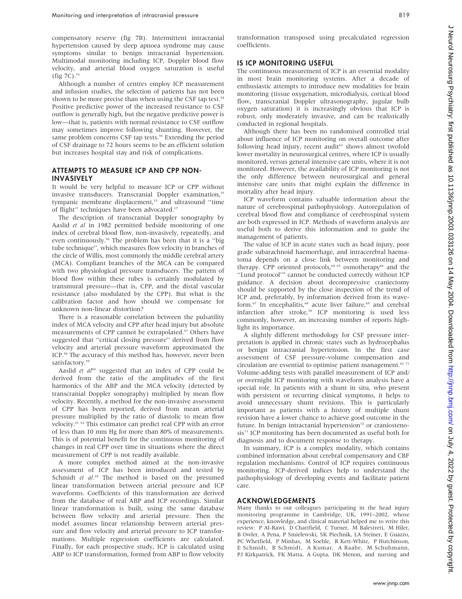compensatory reserve (fig 7B). Intermittent intracranial hypertension caused by sleep apnoea syndrome may cause symptoms similar to benign intracranial hypertension. Multimodal monitoring including ICP, Doppler blood flow velocity, and arterial blood oxygen saturation is useful (fig  $7C$ ).<sup>5</sup>

Although a number of centres employ ICP measurement and infusion studies, the selection of patients has not been shown to be more precise than when using the CSF tap test.<sup>54</sup> Positive predictive power of the increased resistance to CSF outflow is generally high, but the negative predictive power is low—that is, patients with normal resistance to CSF outflow may sometimes improve following shunting. However, the same problem concerns CSF tap tests.<sup>55</sup> Extending the period of CSF drainage to 72 hours seems to be an efficient solution but increases hospital stay and risk of complications.

#### ATTEMPTS TO MEASURE ICP AND CPP NON-INVASIVELY

It would be very helpful to measure ICP or CPP without invasive transducers. Transcranial Doppler examination,<sup>16</sup> tympanic membrane displacement,<sup>15</sup> and ultrasound "time of flight'' techniques have been advocated.17

The description of transcranial Doppler sonography by Aaslid et al in 1982 permitted bedside monitoring of one index of cerebral blood flow, non-invasively, repeatedly, and even continuously.<sup>56</sup> The problem has been that it is a "big tube technique'', which measures flow velocity in branches of the circle of Willis, most commonly the middle cerebral artery (MCA). Compliant branches of the MCA can be compared with two physiological pressure transducers. The pattern of blood flow within these tubes is certainly modulated by transmural pressure—that is, CPP, and the distal vascular resistance (also modulated by the CPP). But what is the calibration factor and how should we compensate for unknown non-linear distortion?

There is a reasonable correlation between the pulsatility index of MCA velocity and CPP after head injury but absolute measurements of CPP cannot be extrapolated.<sup>57</sup> Others have suggested that ''critical closing pressure'' derived from flow velocity and arterial pressure waveform approximated the ICP.<sup>58</sup> The accuracy of this method has, however, never been satisfactory.<sup>59</sup>

Aaslid et  $al^{60}$  suggested that an index of CPP could be derived from the ratio of the amplitudes of the first harmonics of the ABP and the MCA velocity (detected by transcranial Doppler sonography) multiplied by mean flow velocity. Recently, a method for the non-invasive assessment of CPP has been reported, derived from mean arterial pressure multiplied by the ratio of diastolic to mean flow velocity.<sup>61 62</sup> This estimator can predict real CPP with an error of less than 10 mm Hg for more than 80% of measurements. This is of potential benefit for the continuous monitoring of changes in real CPP over time in situations where the direct measurement of CPP is not readily available.

A more complex method aimed at the non-invasive assessment of ICP has been introduced and tested by Schmidt et al.<sup>18</sup> The method is based on the presumed linear transformation between arterial pressure and ICP waveforms. Coefficients of this transformation are derived from the database of real ABP and ICP recordings. Similar linear transformation is built, using the same database between flow velocity and arterial pressure. Then the model assumes linear relationship between arterial pressure and flow velocity and arterial pressure to ICP transformations. Multiple regression coefficients are calculated. Finally, for each prospective study, ICP is calculated using ABP to ICP transformation, formed from ABP to flow velocity transformation transposed using precalculated regression coefficients.

#### IS ICP MONITORING USEFUL

The continuous measurement of ICP is an essential modality in most brain monitoring systems. After a decade of enthusiastic attempts to introduce new modalities for brain monitoring (tissue oxygenation, microdialysis, cortical blood flow, transcranial Doppler ultrasonography, jugular bulb oxygen saturation) it is increasingly obvious that ICP is robust, only moderately invasive, and can be realistically conducted in regional hospitals.

Although there has been no randomised controlled trial about influence of ICP monitoring on overall outcome after following head injury, recent audit<sup>63</sup> shows almost twofold lower mortality in neurosurgical centres, where ICP is usually monitored, versus general intensive care units, where it is not monitored. However, the availability of ICP monitoring is not the only difference between neurosurgical and general intensive care units that might explain the difference in mortality after head injury.

ICP waveform contains valuable information about the nature of cerebrospinal pathophysiology. Autoregulation of cerebral blood flow and compliance of cerebrospinal system are both expressed in ICP. Methods of waveform analysis are useful both to derive this information and to guide the management of patients.

The value of ICP in acute states such as head injury, poor grade subarachnoid haemorrhage, and intracerebral haematoma depends on a close link between monitoring and therapy. CPP oriented protocols,  $64, 65$  osmotherapy<sup>66</sup> and the ''Lund protocol''6 cannot be conducted correctly without ICP guidance. A decision about decompressive craniectomy should be supported by the close inspection of the trend of ICP and, preferably, by information derived from its waveform.<sup>67</sup> In encephalitis,<sup>68</sup> acute liver failure,<sup>69</sup> and cerebral infarction after stroke,<sup>70</sup> ICP monitoring is used less commonly, however, an increasing number of reports highlight its importance.

A slightly different methodology for CSF pressure interpretation is applied in chronic states such as hydrocephalus or benign intracranial hypertension. In the first case assessment of CSF pressure–volume compensation and circulation are essential to optimise patient management.<sup>42 71</sup> Volume-adding tests with parallel measurement of ICP and/ or overnight ICP monitoring with waveform analysis have a special role. In patients with a shunt in situ, who present with persistent or recurring clinical symptoms, it helps to avoid unnecessary shunt revisions. This is particularly important as patients with a history of multiple shunt revision have a lower chance to achieve good outcome in the future. In benign intracranial hypertension $72$  or craniostenosis<sup>73</sup> ICP monitoring has been documented as useful both for diagnosis and to document response to therapy.

In summary, ICP is a complex modality, which contains combined information about cerebral compensatory and CBF regulation mechanisms. Control of ICP requires continuous monitoring. ICP-derived indices help to understand the pathophysiology of developing events and facilitate patient care.

#### ACKNOWLEDGEMENTS

Many thanks to our colleagues participating in the head injury monitoring programme in Cambridge, UK, 1991–2002, whose experience, knowledge, and clinical material helped me to write this review: P Al-Rawi, D Chattfield, C Turner, M Balestreri, M Hiler, B Owler, A Pena, P Smielewski, SK Piechnik, LA Steiner, E Guazzo, PC Whetfield, P Minhas, M Soehle, R Kett-White, P Hutchinson, E Schmidt, B Schmidt, A Kumar, A Raabe, M Schuhmann, PJ Kirkpatrick, FK Matta, A Gupta, DK Menon, and nursing and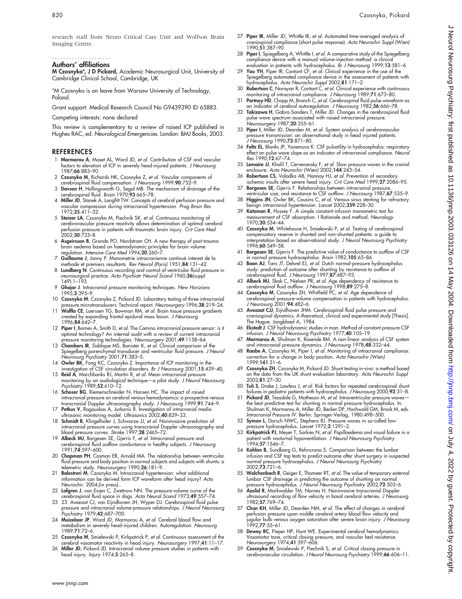J Neurol Neurosurg Psychiatry: first published as 10.1136/jnnp.2003.033126 on 14 May 2004. Downloaded from <http://jnnp.bmj.com/> on July 4, 2022 by guest. Protected by copyright. Neurol Neurosurg Psychiatry: first published as 10.1136/jnnp.2003.033126 on 14 May 2004. Downloaded from http://jnnp.bmj.com/ on July 4, 2022 by guest. Protected by copyright

research staff from Neuro Critical Care Unit and Wolfson Brain Imaging Centre.

#### Authors' affiliations .....................

M Czosnyka\*, J D Pickard, Academic Neurosurgical Unit, University of Cambridge Clinical School, Cambridge, UK

\*M Czosnyka is on leave from Warsaw University of Technology, Poland.

Grant support: Medical Research Council No G9439390 ID 65883.

Competing interests: none declared

This review is complementary to a review of raised ICP published in Hughes RAC, ed. Neurological Emergencies. London: BMJ Books, 2003.

#### **REFERENCES**

- 1 **Marmarou A**, Maset AL, Ward JD, et al. Contribution of CSF and vascular factors to elevation of ICP in severely head-injured patients. J Neurosurg 1987;66:883–90.
- 2 Czosnyka M, Richards HK, Czosnyka Z, et al. Vascular components of cerebrospinal fluid compensation. J Neurosurg 1999;90:752–9.
- 3 Davson H, Hollingsworth G, Segal MB. The mechanism of drainage of the<br>cerebrospinal fluid. *Brain* 1970;**93**:665–78.<br>4 Mi**ller JD**, Stanek A, Langfitt TW. Concepts of cerebral perfusion pressure and
- vascular compression during intracranial hypertension. Prog Brain Res 1972;35:411–32.
- 5 Steiner LA, Czosnyka M, Piechnik SK, et al. Continuous monitoring of cerebrovascular pressure reactivity allows determination of optimal cerebral perfusion pressure in patients with traumatic brain injury. Crit Care Med 2002;30:733–8.
- 6 Asgeirsson B, Grande PO, Nordstrom CH. A new therapy of post-trauma brain oedema based on haemodynamic principles for brain volume<br>regulation. *Intensive Care Med* 1994;**20**:260–7.
- 7 Guillaume J, Janny P. Manometrie intracranienne continué interest de la
- methode et premiers resultants. *Rev Neurol (Paris)* 1951;**84**:131–42.<br>8 **Lundberg N**. Continuous recording and control of ventricular fluid pressure in<br>neurosurgical practice. *Acta Psychiatr Neurol Scand* 1960;**36**(suppl 149):1–193.
- 9 Ghajar J. Intracranial pressure monitoring techniques. New Horizions 1995;3:395–9.
- 10 Czosnyka M, Czosnyka Z, Pickard JD. Laboratory testing of three intracranial pressure microtransducers: Technical report. Neurosurgery 1996;38:219–24.
- 11 Wolfla CE, Luerssen TG, Bowman RM, et al. Brain tissue pressure gradients created by expanding trontal epidural mass lesion. *J Neurosurg*<br>1996;**84**:642–7.
- 12 Piper I, Barnes A, Smith D, et al. The Camino intracranial pressure sensor: is it optimal technology? An internal audit with a review of current intracranial
- pressure monitoring technologies. Neurosurgery 2001;49:1158–64. 13 Chambers IR, Siddique MS, Banister K, et al. Clinical comparison of the Spiegelberg parenchymal transducer and ventricular fluid pressure. J Neurol Neurosurg Psychiatry 2001;71:383–5.
- 14 Owler BK, Fong KC, Czosnyka Z. Importance of ICP monitoring in the nvestigation of CSF circulation disorders. Br J Neurosurg 2001;15:439–40.
- 15 Reid A, Marchbanks RJ, Martin R, et al. Mean intracranial pressure monitoring by an audiological technique—a pilot study. J Neurol Neurosurg Psychiatry 1989;52:610–12.
- 16 **Schoser BG**, Riemenschneider N, Hansen HC. The impact of raised<br>intracranial pressure on cerebral venous hemodynamics: a prospective venous<br>transcranial Doppler ultrasonography study. *J* Neurosurg 1999;91:744–9.<br>17 **P**
- ultrasonic monitoring model. Ultrasonics 2002;40:829–33.<br>18 Schmidt B, Klingelhofer J, Schwarze JJ, et al. Noninvasive prediction of
- intracranial pressure curves using transcranial Doppler ultrasonography and blood pressure curves. Stroke 1997;28:2465–72.
- 19 Albeck MJ, Borgesen SE, Gjerris F, et al. Intracranial pressure and cerebrospinal fluid outflow conductance in healthy subjects. J Neurosurg 1991;74:597–600.
- 20 Chapman PH, Cosman ER, Arnold MA. The relationship between ventricular fluid pressure and body position in normal subjects and subjects with shunts: a telemetric study. Neurosurgery 1990;26:181-9.
- 21 Balestreri M, Czosnyka M. Intracranial hypertension: what additional information can be derived form ICP waveform after head injury? Acta Neurochir, 2004;(in press)..
- 22 Lofgren J, von Essen C, Zwetnow NN. The pressure-volume curve of the cerebrospinal fluid space in dogs. Acta Neurol Scand 1973;49:557–74.
- 23 23. Avezaat CJ, van Eijndhoven JH, Wyper DJ. Cerebrospinal fluid pulse pressure and intracranial volume-pressure relationships. J Neurol Neurosurg Psychiatry 1979;42:687–700.
- 24 Muizelaar JP, Ward JD, Marmarou A, et al. Cerebral blood flow and metabolism in severely head-injured children. Autoregulation. Neurosurg 1989;71:72–6.
- 25 Czosnyka M, Smielewski P, Kirkpatrick P, et al. Continuous assessment of the cerebral vasomotor reactivity in head injury. Neurosurgery 1997;41:11-17.
- 26 Miller JD, Pickard JD. Intracranial volume pressure studies in patients with head injury. Injury 1974;5:265–8.
- 27 **Piper IR**, Miller JD, Whittle IR, et al. Automated time-averaged analysis of craniospinal compliance (short pulse response). Acta Neurochir Suppl (Wien) 1990;51:387–90.
- 28 Piper I, Spiegelberg A, Whittle I, et al. A comparative study of the Spiegelberg compliance device with a manual volume-injection method: a clinica evaluation in patients with hydrocephalus. Br J Neurosurg 1999;13:581-6.
- 29 Yau YH, Piper IR, Contant CF, et al. Clinical experience in the use of the Spiegelberg automated compliance device in the assessment of patients with
- hydrocephalus. *Acta Neurochir Suppl 2002;*81:171–2.<br>30 Robertson C, Narayan R, Contant C, *et al.* Clinical experience with continuous
- monitoring of intracranial compliance. J Neurosurg 1989;71:673–80.<br>31 **Portnoy HD**, Chopp M, Branch C, *et al*. Cerebrospinal fluid pulse waveform as<br>31 an indicator of cerebral autoregulation. J Neurosurg 1982;**56**:666–78
- 32 Takizawa H, Gabra-Sanders T, Miller JD. Changes in the cerebrospinal fluid pulse wave spectrum associated with raised intracranial pressure. Neurosurgery 1987;20:355–61.
- 33 Piper I, Miller JD, Dearden M, et al. System analysis of cerebrovascular pressure transmission: an observational study in head injured patients. J Neurosurg 1990;73:871–80.
- 34 Foltz EL, Blanks JP, Yonemura K. CSF pulsatility in hydrocephalus: respiratory ettect on pulse wave slope as an indicator ot intracranial compliance. Neuro<br>Res 1990;**12**:67–74.
- 35 Lemaire JJ, Khalil T, Cervenansky F, et al. Slow pressure waves in the cranial enclosure. Acta Neurochir (Wien) 2002;144:243–54.
- 36 Robertson CS, Valadka AB, Hannay HJ, *et al.* Prevention of secondary<br>ischemic insults after severe head injury. *Crit Care Med* 1999;27:2086–95.<br>37 Borgesen SE, Gjerris F. Relationships between intracranial pressure,
- ventricular size, and resistance to CSF outflow. J Neurosurg 1987;67:535–9.
- 38 Higgins JN, Owler BK, Cousins C, et al. Venous sinus stenting for refractory
- benign intracranial hypertension. Lancet 2002;359:228–30. 39 Katzman R, Hussey F. A simple constant-infusion manometric test for measurement of CSF absorption. I Rationale and method. Neurology 1970;20:534–44.
- 40 Czosnyka M, Whitehouse H, Smielewski P, et al. Testing of cerebrospinal compensatory reserve in shunted and non-shunted patients: a guide to interpretation based on observational study. J Neurol Neurosurg Psychiatry 1996;60:549–58.
- 41 Borgesen SE, Gjerris F. The predictive value of conductance to outflow of CSF in normal pressure hydrocephalus. Brain 1982;105:65–86.
- 42 Boon AJ, Tans JT, Delwel EJ, et al. Dutch normal-pressure hydrocephalus study: prediction of outcome after shunting by resistance to outflow of cerebrospinal fluid. J Neurosurg 1997;87:687–93.
- 43 Albeck MJ, Skak C, Nielsen PR, et al. Age dependency of resistance to cerebrospinal fluid outflow. J Neurosurg 1998;89:275–8.
- 44 Czosnyka M, Czosnyka ZH, Whitfield PC, et al. Age dependence of cerebrospinal pressure-volume compensation in patients with hydrocephalus. J Neurosurg 2001;94:482–6.
- 45 Avezaat CJJ, Eijndhoven JHM. Cerebrospinal fluid pulse pressure and craniospinal dynamics. A theoretical, clinical and experimental study [Thesis]. The Hague: Jongbloed A, 1984.
- 46 Ekstedt J. CSF hydrodynamic studies in man. Method of constant pressure CSF intusion. *J Neurol Neurosurg Psychiatry* 1977;**40**:105–19.<br>47 **Marmarou A**, Shulman K, Rosende RM. A non-linear analysis of CSF system
- and intracranial pressure dynamics. J Neurosurg 1978;48:332–44.
- 48 Raabe A, Czosnyka M, Piper I, et al. Monitoring of intracranial compliance: correction for a change in body position. Acta Neurochir (Wien) 1999;141:31–6.
- 49 Czosnyka ZH, Czosnyka M, Pickard JD. Shunt testing in-vivo: a method based on the data from the UK shunt evaluation laboratory. Acta Neurochir Suppl 2002;81:27–30.
- 50 Tuli S, Drake J, Lawless J, et al. Risk factors for repeated cerebrospinal shunt failures in pediatric patients with hydrocephalus. J Neurosurg 2000;92:31–8.
- 51 Pickard JD, Teasdale G, Matheson M, et al. Intraventricular pressure waves the best predictive test for shunting in normal pressure hydrocephalus. In: Shulman K, Marmarou A, Miller JD, Becker DP, Hochwald GM, Brock M, eds. Intracranial Pressure IV. Berlin: Springer-Verlag, 1980:498–500.
- 52 Symon L, Dorsch NWC, Stephens RJ. Pressure waves in so-called low-pressure hydrocephalus. Lancet 1972;2:1291–2.
- 53 Kirkpatrick PJ, Meyer T, Sarkies N, et al. Papilloedema and visual failure in a patient with nocturnal hypoventilation. J Neurol Neurosurg Psychiatry 1994;57:1546–7.
- 54 **Kahlon B**, Sundbarg G, Rehncrona S. Comparison between the lumbar<br>infusion and CSF tap tests to predict outcome after shunt surgery in suspected<br>normal pressure hydrocephalus. *J Neurol Neurosurg Psychiatry* 2002;73:721–6.
- 55 Walchenbach R, Geiger E, Thomeer RT, et al. The value of temporary external lumbar CSF drainage in predicting the outcome of shunting on normal pressure hydrocephalus. J Neurol Neurosurg Psychiatry 2002;72:503-6.
- 56 Aaslid R, Markwalder TM, Nornes H. Noninvasive transcranial Doppler ultrasound recording of flow velocity in basal cerebral arteries. J Neurosurg 1982;57:769–74.
- 57 Chan KH, Miller JD, Dearden NM, et al. The effect of changes in cerebral perfusion pressure upon middle cerebral artery blood flow velocity and jugular bulb venous oxygen saturation after severe brain injury. J Neurosurg 1992;77:55–61.
- 58 Dewey RC, Pieper HP, Hunt WE. Experimental cerebral hemodynamics. Vasomotor tone, critical closing pressure, and vascular bed resistance. Neurosurgery 1974;41:597–606.
- 59 Czosnyka M, Smielewski P, Piechnik S, et al. Critical closing pressure in cerebrovascular circulation. J Neurol Neurosurg Psychiatry 1999;66:606-11.